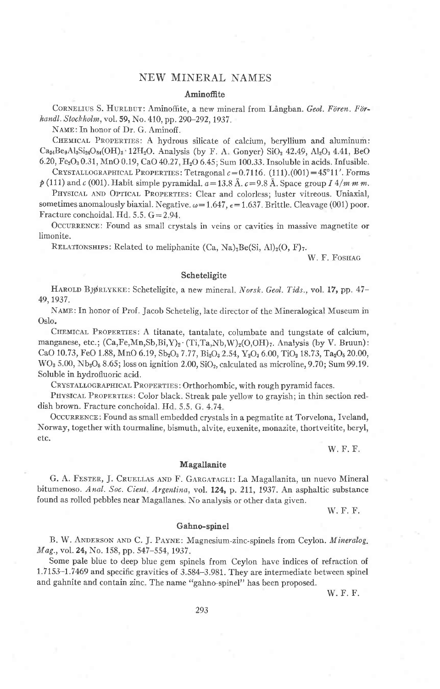# NEW MINERAL NAMES

## Aminoffite

CORNELIUS S. HURLBUT: Aminoffite, a new mineral from Långban. Geol. Fören. Förhandl. Stockholm, vol. 59, No. 410, pp. 290-292, 1937.

NAME: In honor of Dr. G. Aminoff.

CHEMICAL PROPERTIES: A hydrous silicate of calcium, beryllium and aluminum:  $Ca_{24}Be_9Al_3Si_{24}O_{84}(OH)_3$  12H<sub>2</sub>O. Analysis (by F. A. Gonyer) SiO<sub>2</sub> 42.49, Al<sub>2</sub>O<sub>3</sub> 4.41, BeO 6.20, Fe<sub>2</sub>O<sub>3</sub> 0.31, MnO 0.19, CaO 40.27, H<sub>2</sub>O 6.45; Sum 100.33. Insoluble in acids. Infusible.

CRYSTALLOGRAPHICAL PROPERTIES: Tetragonal  $c=0.7116$ . (111).(001) = 45°11'. Forms  $\hat{p}$  (111) and c (001). Habit simple pyramidal,  $a=13.8 \text{ Å}$ ,  $c=9.8 \text{ Å}$ . Space group  $I\frac{4}{m m m}$ .

PHYSICAL AND OPTICAL PROPERTIES: Clear and colorless; luster vitreous. Uniaxial, sometimes anomalously biaxial. Negative.  $\omega = 1.647$ ,  $\epsilon = 1.637$ . Brittle. Cleavage (001) poor. Fracture conchoidal. Hd. 5.5. G = 2.94.

OCCURRENCE: Found as small crystals in veins or cavities in massive magnetite or limonite.

RELATIONSHIPS: Related to meliphanite  $(Ca, Na)_2Be(Si, Al)_2(O, F)_7$ .

W. F. FOSHAG

## Scheteligite

HAROLD BJØRLYKKE: Scheteligite, a new mineral. Norsk. Geol. Tids., vol. 17, pp. 47-49, 1937.

NAME: In honor of Prof. Jacob Schetelig, late director of the Mineralogical Museum in Oslo.

CHEMICAL PROPERTIES: A titanate, tantalate, columbate and tungstate of calcium, manganese, etc.;  $(Ca, Fe, Mn, Sb, Bi, Y)_2$  (Ti,Ta,Nb,W)<sub>2</sub>(O,OH) $_7$ . Analysis (by V. Bruun): CaO 10.73, FeO 1.88, MnO 6.19, Sb<sub>2</sub>O<sub>3</sub> 7.77, Bi<sub>2</sub>O<sub>3</sub> 2.54, Y<sub>2</sub>O<sub>3</sub> 6.00, TiO<sub>2</sub> 18.73, Ta<sub>2</sub>O<sub>5</sub> 20.00, WO<sub>3</sub> 5.00, Nb<sub>2</sub>O<sub>5</sub> 8.65; loss on ignition 2.00, SiO<sub>2</sub>, calculated as microline, 9.70; Sum 99.19. Soluble in hydrofluoric acid.

CRYSTALLOGRAPHICAL PROPERTIES: Orthorhombic, with rough pyramid faces.

PHYSICAL PROPERTIES: Color black. Streak pale yellow to grayish; in thin section reddish brown. Fracture conchoidal. Hd. 5.5. G. 4.74.

OCCURRENCE: Found as small embedded crystals in a pegmatite at Torvelona, Iveland, Norway, together with tourmaline, bismuth, alvite, euxenite, monazite, thortveitite, beryl, etc.

W. F. F.

# Magallanite

G. A. FESTER, J. CRUELLAS AND F. GARGATAGLI: La Magallanita, un nuevo Mineral bitumenoso. Anal. Soc. Cient. Argentina, vol. 124, p. 211, 1937. An asphaltic substance found as rolled pebbles near Magallanes. No analysis or other data given.

W. F. F.

#### Gahno-spinel

B. W. ANDERSON AND C. J. PAYNE: Magnesium-zinc-spinels from Ceylon. Mineralog. Mag., vol. 24, No. 158, pp. 547–554, 1937.

Some pale blue to deep blue gem spinels from Ceylon have indices of refraction of 1.7153–1.7469 and specific gravities of 3.584–3.981. They are intermediate between spinel and gahnite and contain zinc. The name "gahno-spinel" has been proposed.

W. F. F.